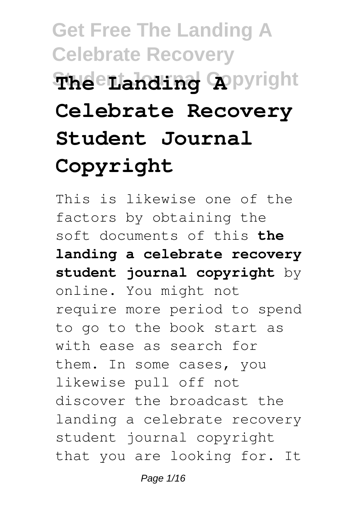# **Get Free The Landing A Celebrate Recovery Student Journal Copyright The Landing A Celebrate Recovery Student Journal Copyright**

This is likewise one of the factors by obtaining the soft documents of this **the landing a celebrate recovery student journal copyright** by online. You might not require more period to spend to go to the book start as with ease as search for them. In some cases, you likewise pull off not discover the broadcast the landing a celebrate recovery student journal copyright that you are looking for. It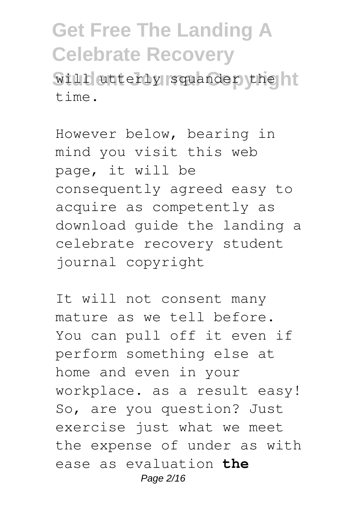will utterly squander the  $t$ ime

However below, bearing in mind you visit this web page, it will be consequently agreed easy to acquire as competently as download guide the landing a celebrate recovery student journal copyright

It will not consent many mature as we tell before. You can pull off it even if perform something else at home and even in your workplace. as a result easy! So, are you question? Just exercise just what we meet the expense of under as with ease as evaluation **the** Page 2/16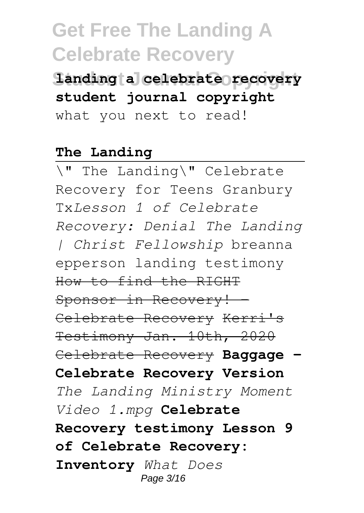**Student Journal Copyright landing a celebrate recovery student journal copyright** what you next to read!

#### **The Landing**

\" The Landing\" Celebrate Recovery for Teens Granbury Tx*Lesson 1 of Celebrate Recovery: Denial The Landing | Christ Fellowship* breanna epperson landing testimony How to find the RIGHT Sponsor in Recovery! Celebrate Recovery Kerri's Testimony Jan. 10th, 2020 Celebrate Recovery **Baggage - Celebrate Recovery Version** *The Landing Ministry Moment Video 1.mpg* **Celebrate Recovery testimony Lesson 9 of Celebrate Recovery: Inventory** *What Does* Page 3/16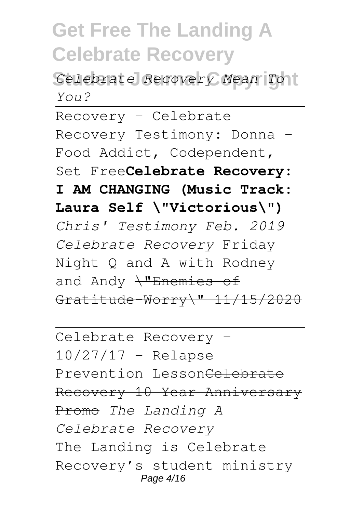**Student Journal Copyright** *Celebrate Recovery Mean To You?*

Recovery - Celebrate Recovery Testimony: Donna - Food Addict, Codependent, Set Free**Celebrate Recovery: I AM CHANGING (Music Track: Laura Self \"Victorious\")** *Chris' Testimony Feb. 2019 Celebrate Recovery* Friday Night Q and A with Rodney and Andy  $\frac{1}{2}$ Enemies of Gratitude-Worry\" 11/15/2020

Celebrate Recovery -  $10/27/17$  - Relapse Prevention Lesson<del>Celebrate</del> Recovery 10 Year Anniversary Promo *The Landing A Celebrate Recovery* The Landing is Celebrate Recovery's student ministry Page 4/16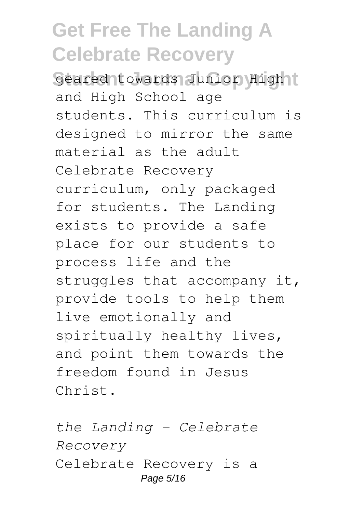Geared towards Junior Hight and High School age students. This curriculum is designed to mirror the same material as the adult Celebrate Recovery curriculum, only packaged for students. The Landing exists to provide a safe place for our students to process life and the struggles that accompany it, provide tools to help them live emotionally and spiritually healthy lives, and point them towards the freedom found in Jesus Christ.

*the Landing - Celebrate Recovery* Celebrate Recovery is a Page 5/16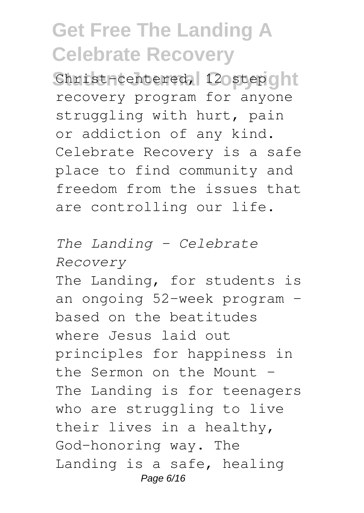Christ-centered, 12 ostep ont recovery program for anyone struggling with hurt, pain or addiction of any kind. Celebrate Recovery is a safe place to find community and freedom from the issues that are controlling our life.

*The Landing - Celebrate Recovery* The Landing, for students is an ongoing 52-week program – based on the beatitudes where Jesus laid out principles for happiness in the Sermon on the Mount – The Landing is for teenagers who are struggling to live their lives in a healthy, God-honoring way. The Landing is a safe, healing Page 6/16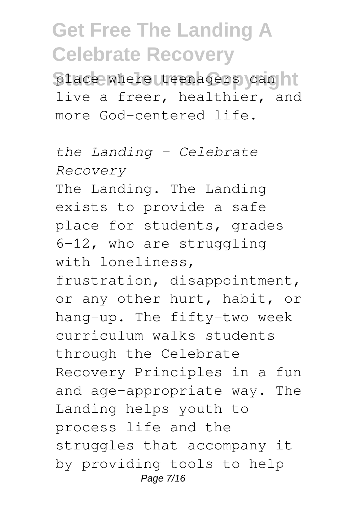place where teenagers can hi live a freer, healthier, and more God-centered life.

*the Landing - Celebrate Recovery* The Landing. The Landing exists to provide a safe place for students, grades 6-12, who are struggling with loneliness, frustration, disappointment, or any other hurt, habit, or hang-up. The fifty-two week curriculum walks students through the Celebrate Recovery Principles in a fun and age-appropriate way. The Landing helps youth to process life and the struggles that accompany it by providing tools to help Page 7/16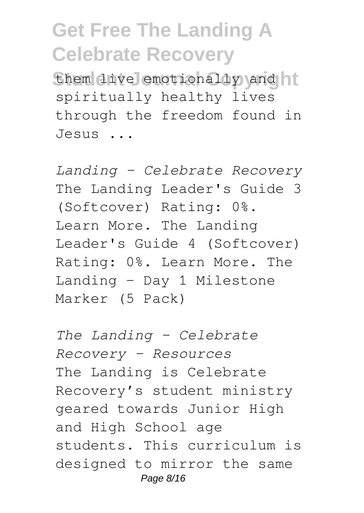them live emotionally and hi spiritually healthy lives through the freedom found in Jesus ...

*Landing – Celebrate Recovery* The Landing Leader's Guide 3 (Softcover) Rating: 0%. Learn More. The Landing Leader's Guide 4 (Softcover) Rating: 0%. Learn More. The Landing - Day 1 Milestone Marker (5 Pack)

*The Landing - Celebrate Recovery - Resources* The Landing is Celebrate Recovery's student ministry geared towards Junior High and High School age students. This curriculum is designed to mirror the same Page 8/16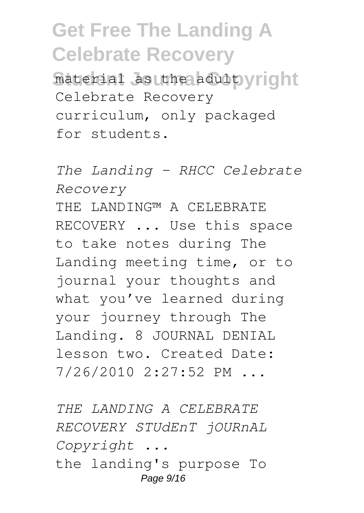material as the adult vright Celebrate Recovery curriculum, only packaged for students.

*The Landing - RHCC Celebrate Recovery* THE LANDING™ A CELEBRATE RECOVERY ... Use this space to take notes during The Landing meeting time, or to journal your thoughts and what you've learned during your journey through The Landing. 8 JOURNAL DENIAL lesson two. Created Date: 7/26/2010 2:27:52 PM ...

*THE LANDING A CELEBRATE RECOVERY STUdEnT jOURnAL Copyright ...* the landing's purpose To Page 9/16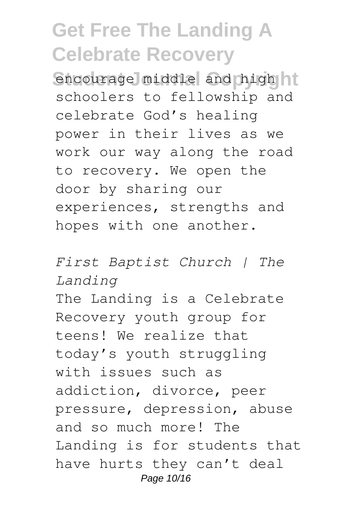encourage middle and high it schoolers to fellowship and celebrate God's healing power in their lives as we work our way along the road to recovery. We open the door by sharing our experiences, strengths and hopes with one another.

*First Baptist Church | The Landing* The Landing is a Celebrate Recovery youth group for teens! We realize that today's youth struggling with issues such as addiction, divorce, peer pressure, depression, abuse and so much more! The Landing is for students that have hurts they can't deal Page 10/16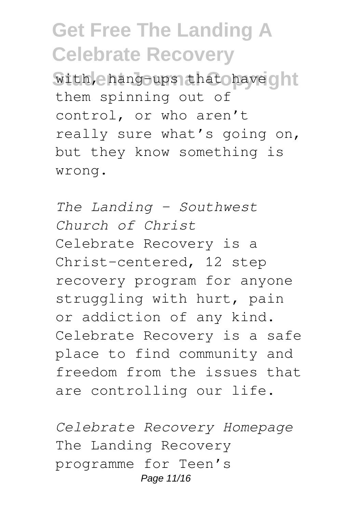with, e hang-ups that have ont them spinning out of control, or who aren't really sure what's going on, but they know something is wrong.

*The Landing – Southwest Church of Christ* Celebrate Recovery is a Christ-centered, 12 step recovery program for anyone struggling with hurt, pain or addiction of any kind. Celebrate Recovery is a safe place to find community and freedom from the issues that are controlling our life.

*Celebrate Recovery Homepage* The Landing Recovery programme for Teen's Page 11/16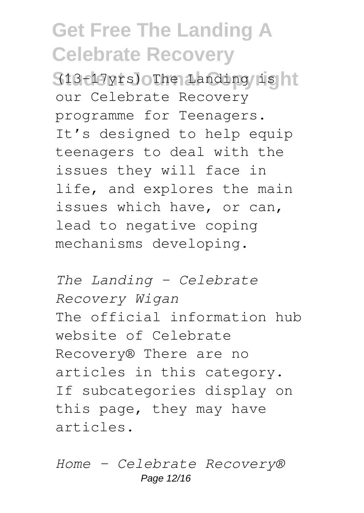**Student Journal Copyright** (13-17yrs) The Landing is our Celebrate Recovery programme for Teenagers. It's designed to help equip teenagers to deal with the issues they will face in life, and explores the main issues which have, or can, lead to negative coping mechanisms developing.

*The Landing - Celebrate Recovery Wigan* The official information hub website of Celebrate Recovery® There are no articles in this category. If subcategories display on this page, they may have articles.

*Home - Celebrate Recovery®* Page 12/16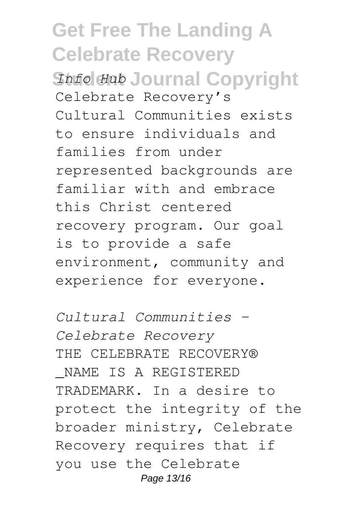#### **Get Free The Landing A Celebrate Recovery** *Shfo Hub* Journal Copyright Celebrate Recovery's Cultural Communities exists to ensure individuals and families from under represented backgrounds are familiar with and embrace this Christ centered recovery program. Our goal is to provide a safe environment, community and experience for everyone.

*Cultural Communities - Celebrate Recovery* THE CELEBRATE RECOVERY® \_NAME IS A REGISTERED TRADEMARK. In a desire to protect the integrity of the broader ministry, Celebrate Recovery requires that if you use the Celebrate Page 13/16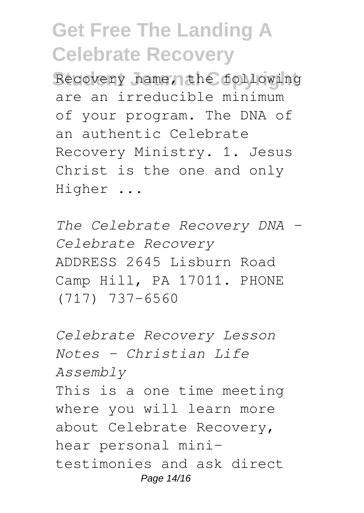Recovery name, the following are an irreducible minimum of your program. The DNA of an authentic Celebrate Recovery Ministry. 1. Jesus Christ is the one and only Higher ...

*The Celebrate Recovery DNA – Celebrate Recovery* ADDRESS 2645 Lisburn Road Camp Hill, PA 17011. PHONE (717) 737-6560

*Celebrate Recovery Lesson Notes - Christian Life Assembly* This is a one time meeting where you will learn more about Celebrate Recovery, hear personal minitestimonies and ask direct Page 14/16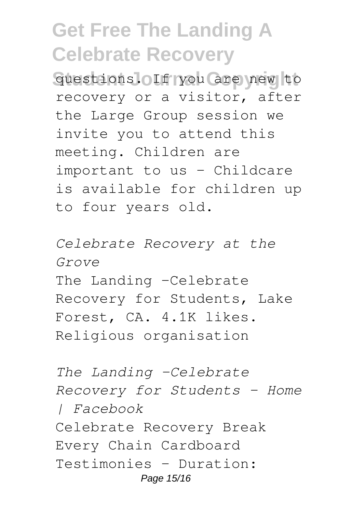**Student Journal Copyright** questions. If you are new to recovery or a visitor, after the Large Group session we invite you to attend this meeting. Children are important to us – Childcare is available for children up to four years old.

*Celebrate Recovery at the Grove* The Landing -Celebrate Recovery for Students, Lake Forest, CA. 4.1K likes. Religious organisation

*The Landing -Celebrate Recovery for Students - Home | Facebook* Celebrate Recovery Break Every Chain Cardboard Testimonies - Duration: Page 15/16